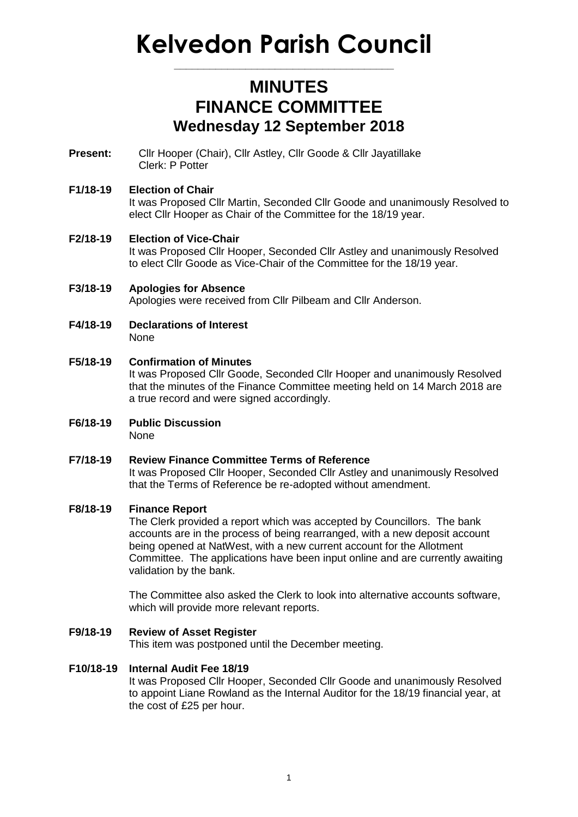# **Kelvedon Parish Council**

**\_\_\_\_\_\_\_\_\_\_\_\_\_\_\_\_\_\_\_\_\_\_\_\_\_\_\_\_\_\_\_\_\_\_\_\_\_**

# **MINUTES FINANCE COMMITTEE Wednesday 12 September 2018**

**Present:** Cllr Hooper (Chair), Cllr Astley, Cllr Goode & Cllr Jayatillake Clerk: P Potter

## **F1/18-19 Election of Chair**

It was Proposed Cllr Martin, Seconded Cllr Goode and unanimously Resolved to elect Cllr Hooper as Chair of the Committee for the 18/19 year.

## **F2/18-19 Election of Vice-Chair**

It was Proposed Cllr Hooper, Seconded Cllr Astley and unanimously Resolved to elect Cllr Goode as Vice-Chair of the Committee for the 18/19 year.

**F3/18-19 Apologies for Absence** Apologies were received from Cllr Pilbeam and Cllr Anderson.

- **F4/18-19 Declarations of Interest** None
- **F5/18-19 Confirmation of Minutes** It was Proposed Cllr Goode, Seconded Cllr Hooper and unanimously Resolved that the minutes of the Finance Committee meeting held on 14 March 2018 are a true record and were signed accordingly.
- **F6/18-19 Public Discussion** None
- **F7/18-19 Review Finance Committee Terms of Reference** It was Proposed Cllr Hooper, Seconded Cllr Astley and unanimously Resolved that the Terms of Reference be re-adopted without amendment.

#### **F8/18-19 Finance Report**

The Clerk provided a report which was accepted by Councillors. The bank accounts are in the process of being rearranged, with a new deposit account being opened at NatWest, with a new current account for the Allotment Committee. The applications have been input online and are currently awaiting validation by the bank.

The Committee also asked the Clerk to look into alternative accounts software, which will provide more relevant reports.

#### **F9/18-19 Review of Asset Register**

This item was postponed until the December meeting.

#### **F10/18-19 Internal Audit Fee 18/19**

It was Proposed Cllr Hooper, Seconded Cllr Goode and unanimously Resolved to appoint Liane Rowland as the Internal Auditor for the 18/19 financial year, at the cost of £25 per hour.